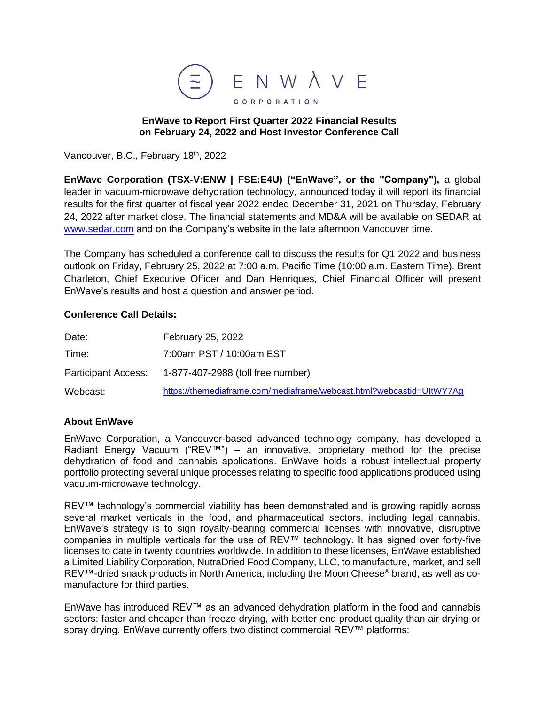

## **EnWave to Report First Quarter 2022 Financial Results on February 24, 2022 and Host Investor Conference Call**

Vancouver, B.C., February 18<sup>th</sup>, 2022

**EnWave Corporation (TSX-V:ENW | FSE:E4U) ("EnWave", or the "Company"),** a global leader in vacuum-microwave dehydration technology, announced today it will report its financial results for the first quarter of fiscal year 2022 ended December 31, 2021 on Thursday, February 24, 2022 after market close. The financial statements and MD&A will be available on SEDAR at [www.sedar.com](http://www.sedar.com/) and on the Company's website in the late afternoon Vancouver time.

The Company has scheduled a conference call to discuss the results for Q1 2022 and business outlook on Friday, February 25, 2022 at 7:00 a.m. Pacific Time (10:00 a.m. Eastern Time). Brent Charleton, Chief Executive Officer and Dan Henriques, Chief Financial Officer will present EnWave's results and host a question and answer period.

## **Conference Call Details:**

| Date:                      | February 25, 2022                                                    |
|----------------------------|----------------------------------------------------------------------|
| Time:                      | 7:00am PST / 10:00am EST                                             |
| <b>Participant Access:</b> | 1-877-407-2988 (toll free number)                                    |
| Webcast:                   | https://themediaframe.com/mediaframe/webcast.html?webcastid=UltWY7Ag |

## **About EnWave**

EnWave Corporation, a Vancouver-based advanced technology company, has developed a Radiant Energy Vacuum ("REV™") – an innovative, proprietary method for the precise dehydration of food and cannabis applications. EnWave holds a robust intellectual property portfolio protecting several unique processes relating to specific food applications produced using vacuum-microwave technology.

REV™ technology's commercial viability has been demonstrated and is growing rapidly across several market verticals in the food, and pharmaceutical sectors, including legal cannabis. EnWave's strategy is to sign royalty-bearing commercial licenses with innovative, disruptive companies in multiple verticals for the use of REV™ technology. It has signed over forty-five licenses to date in twenty countries worldwide. In addition to these licenses, EnWave established a Limited Liability Corporation, NutraDried Food Company, LLC, to manufacture, market, and sell REV™-dried snack products in North America, including the Moon Cheese® brand, as well as comanufacture for third parties.

EnWave has introduced REV™ as an advanced dehydration platform in the food and cannabis sectors: faster and cheaper than freeze drying, with better end product quality than air drying or spray drying. EnWave currently offers two distinct commercial REV™ platforms: